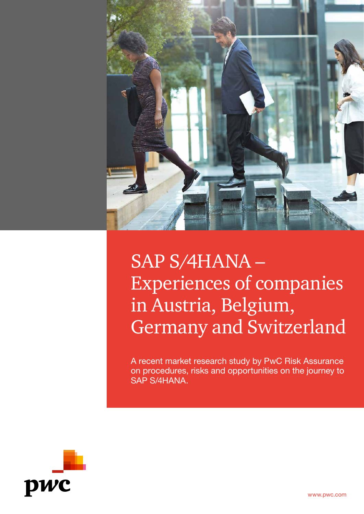

# SAP S/4HANA – Experiences of companies in Austria, Belgium, Germany and Switzerland

A recent market research study by PwC Risk Assurance on procedures, risks and opportunities on the journey to SAP S/4HANA.

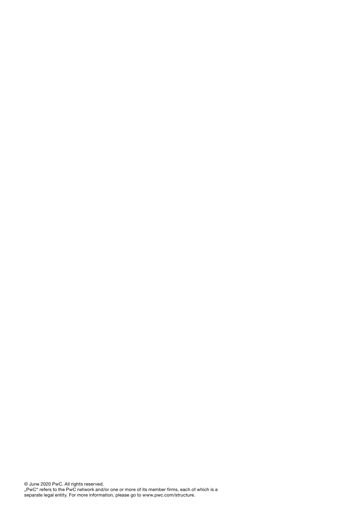© June 2020 PwC. All rights reserved. "PwC" refers to the PwC network and/or one or more of its member firms, each of which is a separate legal entity. For more information, please go to www.pwc.com/structure.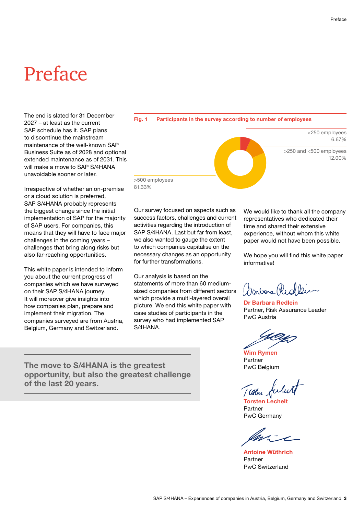# <span id="page-2-0"></span>Preface

The end is slated for 31 December 2027 – at least as the current SAP schedule has it. SAP plans to discontinue the mainstream maintenance of the well-known SAP Business Suite as of 2028 and optional extended maintenance as of 2031. This will make a move to SAP S/4HANA unavoidable sooner or later.

Irrespective of whether an on-premise or a cloud solution is preferred, SAP S/4HANA probably represents the biggest change since the initial implementation of SAP for the majority of SAP users. For companies, this means that they will have to face major challenges in the coming years – challenges that bring along risks but also far-reaching opportunities.

This white paper is intended to inform you about the current progress of companies which we have surveyed on their SAP S/4HANA journey. It will moreover give insights into how companies plan, prepare and implement their migration. The companies surveyed are from Austria, Belgium, Germany and Switzerland.

**Fig. 1 Participants in the survey according to number of employees** <250 employees 6.67% >250 and <500 employees 12.00%

>500 employees 81.33%

Our survey focused on aspects such as success factors, challenges and current activities regarding the introduction of SAP S/4HANA. Last but far from least, we also wanted to gauge the extent to which companies capitalise on the necessary changes as an opportunity for further transformations.

Our analysis is based on the statements of more than 60 mediumsized companies from different sectors which provide a multi-layered overall picture. We end this white paper with case studies of participants in the survey who had implemented SAP S/4HANA.

We would like to thank all the company representatives who dedicated their time and shared their extensive experience, without whom this white paper would not have been possible.

We hope you will find this white paper informative!

Donboro Red

**Dr Barbara Redlein** Partner, Risk Assurance Leader PwC Austria

**Wim Rymen** Partner PwC Belgium

/ aflue

**Torsten Lechelt** Partner PwC Germany

**Antoine Wüthrich** Partner PwC Switzerland

**The move to S/4HANA is the greatest opportunity, but also the greatest challenge of the last 20 years.**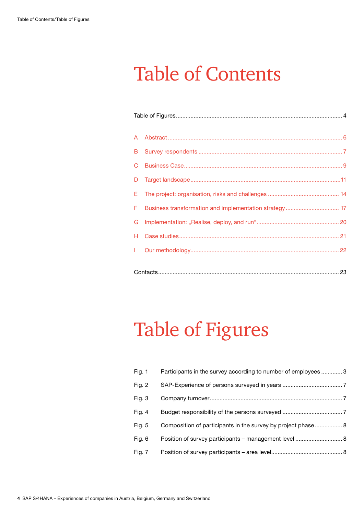# Table of Contents

| A            |                                                        |  |  |  |
|--------------|--------------------------------------------------------|--|--|--|
| B            |                                                        |  |  |  |
| C            |                                                        |  |  |  |
| D            |                                                        |  |  |  |
| Ε.           |                                                        |  |  |  |
| F            | Business transformation and implementation strategy 17 |  |  |  |
| G            |                                                        |  |  |  |
| H            |                                                        |  |  |  |
| $\mathbf{L}$ |                                                        |  |  |  |
|              |                                                        |  |  |  |

# Table of Figures

| Fig. $1$ | Participants in the survey according to number of employees 3 |
|----------|---------------------------------------------------------------|
| Fig. 2   |                                                               |
| Fig. 3   |                                                               |
| Fig. 4   |                                                               |
| Fig. 5   | Composition of participants in the survey by project phase 8  |
| Fig. 6   | Position of survey participants – management level  8         |
| Fig. 7   |                                                               |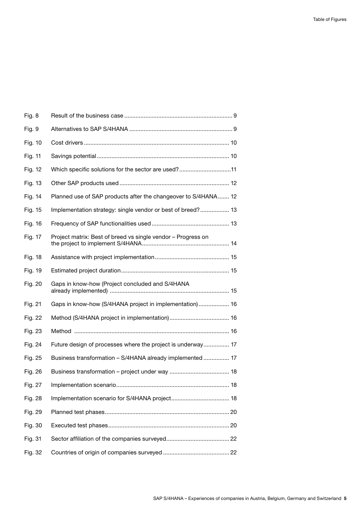| Fig. 8  |                                                                |
|---------|----------------------------------------------------------------|
| Fig. 9  |                                                                |
| Fig. 10 |                                                                |
| Fig. 11 |                                                                |
| Fig. 12 | Which specific solutions for the sector are used?11            |
| Fig. 13 |                                                                |
| Fig. 14 | Planned use of SAP products after the changeover to S/4HANA 12 |
| Fig. 15 | Implementation strategy: single vendor or best of breed? 13    |
| Fig. 16 |                                                                |
| Fig. 17 | Project matrix: Best of breed vs single vendor - Progress on   |
| Fig. 18 |                                                                |
| Fig. 19 |                                                                |
| Fig. 20 | Gaps in know-how (Project concluded and S/4HANA                |
| Fig. 21 | Gaps in know-how (S/4HANA project in implementation) 16        |
| Fig. 22 |                                                                |
| Fig. 23 |                                                                |
| Fig. 24 | Future design of processes where the project is underway 17    |
| Fig. 25 | Business transformation - S/4HANA already implemented  17      |
| Fig. 26 |                                                                |
| Fig. 27 | 18                                                             |
| Fig. 28 |                                                                |
| Fig. 29 |                                                                |
| Fig. 30 |                                                                |
| Fig. 31 |                                                                |
| Fig. 32 |                                                                |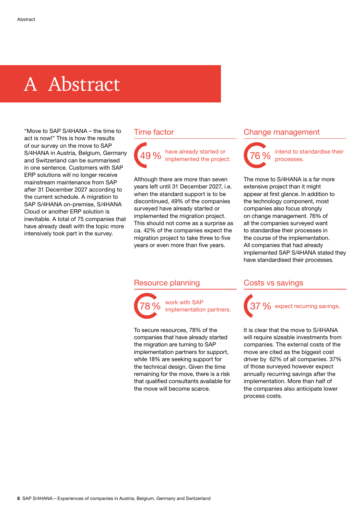## <span id="page-5-0"></span>A Abstract

"Move to SAP S/4HANA – the time to act is now!" This is how the results of our survey on the move to SAP S/4HANA in Austria, Belgium, Germany and Switzerland can be summarised in one sentence. Customers with SAP ERP solutions will no longer receive mainstream maintenance from SAP after 31 December 2027 according to the current schedule. A migration to SAP S/4HANA on-premise, S/4HANA Cloud or another ERP solution is inevitable. A total of 75 companies that have already dealt with the topic more intensively took part in the survey.

### Time factor



Although there are more than seven years left until 31 December 2027, i.e. when the standard support is to be discontinued, 49% of the companies surveyed have already started or implemented the migration project. This should not come as a surprise as ca. 42% of the companies expect the migration project to take three to five years or even more than five years.

#### Resource planning



work with SAP<br>implementation partners.

To secure resources, 78% of the companies that have already started the migration are turning to SAP implementation partners for support, while 18% are seeking support for the technical design. Given the time remaining for the move, there is a risk that qualified consultants available for the move will become scarce.

### Change management



intend to standardise their<br>processes.

The move to S/4HANA is a far more extensive project than it might appear at first glance. In addition to the technology component, most companies also focus strongly on change management. 76% of all the companies surveyed want to standardise their processes in the course of the implementation. All companies that had already implemented SAP S/4HANA stated they have standardised their processes.

### Costs vs savings



It is clear that the move to S/4HANA will require sizeable investments from companies. The external costs of the move are cited as the biggest cost driver by 62% of all companies. 37% of those surveyed however expect annually recurring savings after the implementation. More than half of the companies also anticipate lower process costs.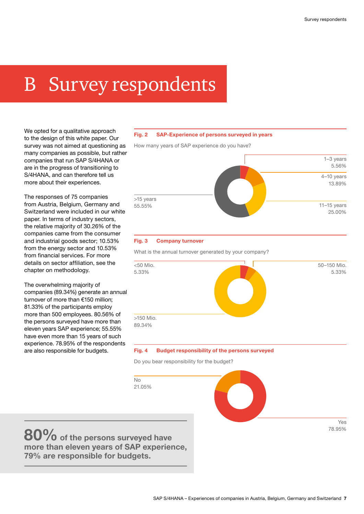# <span id="page-6-0"></span>B Survey respondents

We opted for a qualitative approach to the design of this white paper. Our survey was not aimed at questioning as many companies as possible, but rather companies that run SAP S/4HANA or are in the progress of transitioning to S/4HANA, and can therefore tell us more about their experiences.

The responses of 75 companies from Austria, Belgium, Germany and Switzerland were included in our white paper. In terms of industry sectors, the relative majority of 30.26% of the companies came from the consumer and industrial goods sector; 10.53% from the energy sector and 10.53% from financial services. For more details on sector affiliation, see the chapter on methodology.

The overwhelming majority of companies (89.34%) generate an annual turnover of more than €150 million; 81.33% of the participants employ more than 500 employees. 80.56% of the persons surveyed have more than eleven years SAP experience; 55.55% have even more than 15 years of such experience. 78.95% of the respondents are also responsible for budgets.

#### **Fig. 2 SAP-Experience of persons surveyed in years**

How many years of SAP experience do you have?



#### **Fig. 3 Company turnover**

What is the annual turnover generated by your company?



#### **Fig. 4 Budget responsibility of the persons surveyed**

Do you bear responsibility for the budget?

**80% of the persons surveyed have more than eleven years of SAP experience, 79% are responsible for budgets.**

 $N_{\Omega}$ 21.05%

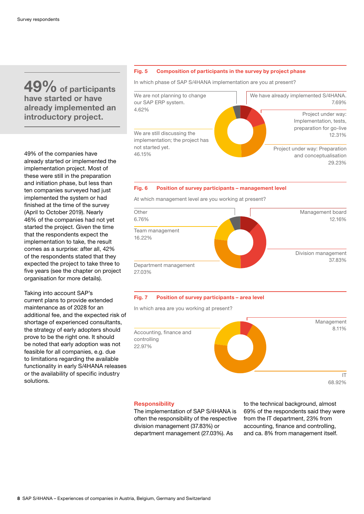### <span id="page-7-0"></span>**49% of participants have started or have already implemented an introductory project.**

49% of the companies have already started or implemented the implementation project. Most of these were still in the preparation and initiation phase, but less than ten companies surveyed had just implemented the system or had finished at the time of the survey (April to October 2019). Nearly 46% of the companies had not yet started the project. Given the time that the respondents expect the implementation to take, the result comes as a surprise: after all, 42% of the respondents stated that they expected the project to take three to five years (see the chapter on project organisation for more details).

Taking into account SAP's current plans to provide extended maintenance as of 2028 for an additional fee, and the expected risk of shortage of experienced consultants, the strategy of early adopters should prove to be the right one. It should be noted that early adoption was not feasible for all companies, e.g. due to limitations regarding the available functionality in early S/4HANA releases or the availability of specific industry solutions.

#### **Fig. 5 Composition of participants in the survey by project phase**

In which phase of SAP S/4HANA implementation are you at present?



### 29.23%

#### **Fig. 6 Position of survey participants – management level**

At which management level are you working at present?



#### **Fig. 7 Position of survey participants – area level**

In which area are you working at present?



#### **Responsibility**

The implementation of SAP S/4HANA is often the responsibility of the respective division management (37.83%) or department management (27.03%). As

to the technical background, almost 69% of the respondents said they were from the IT department, 23% from accounting, finance and controlling, and ca. 8% from management itself.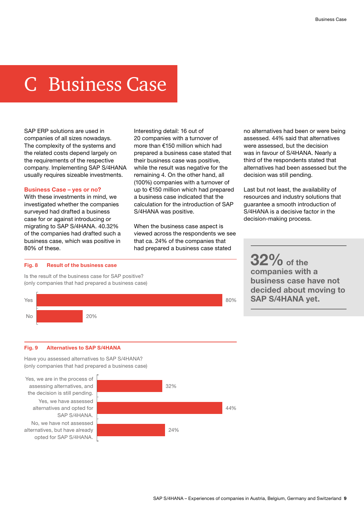# <span id="page-8-0"></span>C Business Case

SAP ERP solutions are used in companies of all sizes nowadays. The complexity of the systems and the related costs depend largely on the requirements of the respective company. Implementing SAP S/4HANA usually requires sizeable investments.

#### **Business Case – yes or no?**

With these investments in mind, we investigated whether the companies surveyed had drafted a business case for or against introducing or migrating to SAP S/4HANA. 40.32% of the companies had drafted such a business case, which was positive in 80% of these.

Interesting detail: 16 out of 20 companies with a turnover of more than €150 million which had prepared a business case stated that their business case was positive, while the result was negative for the remaining 4. On the other hand, all (100%) companies with a turnover of up to €150 million which had prepared a business case indicated that the calculation for the introduction of SAP S/4HANA was positive.

When the business case aspect is viewed across the respondents we see that ca. 24% of the companies that had prepared a business case stated

no alternatives had been or were being assessed. 44% said that alternatives were assessed, but the decision was in favour of S/4HANA. Nearly a third of the respondents stated that alternatives had been assessed but the decision was still pending.

Last but not least, the availability of resources and industry solutions that guarantee a smooth introduction of S/4HANA is a decisive factor in the decision-making process.

#### **Fig. 8 Result of the business case**

Is the result of the business case for SAP positive? (only companies that had prepared a business case)



**32% of the companies with a business case have not decided about moving to SAP S/4HANA yet.**

#### **Fig. 9 Alternatives to SAP S/4HANA**

Have you assessed alternatives to SAP S/4HANA? (only companies that had prepared a business case)

Yes, we have assessed alternatives and opted for SAP S/4HANA. Yes, we are in the process of assessing alternatives, and the decision is still pending. No, we have not assessed alternatives, but have already opted for SAP S/4HANA.

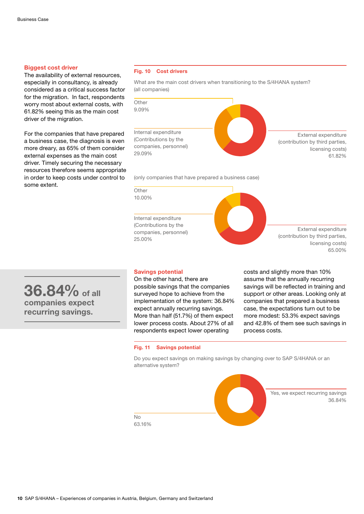#### <span id="page-9-0"></span>**Biggest cost driver**

The availability of external resources, especially in consultancy, is already considered as a critical success factor for the migration. In fact, respondents worry most about external costs, with 61.82% seeing this as the main cost driver of the migration.

For the companies that have prepared a business case, the diagnosis is even more dreary, as 65% of them consider external expenses as the main cost driver. Timely securing the necessary resources therefore seems appropriate in order to keep costs under control to some extent.

#### **Fig. 10 Cost drivers**

What are the main cost drivers when transitioning to the S/4HANA system? (all companies)



(only companies that have prepared a business case)

**Other** 10.00%

Internal expenditure (Contributions by the companies, personnel) 25.00%

External expenditure (contribution by third parties, licensing costs) 65.00%

### **36.84% of all companies expect recurring savings.**

#### **Savings potential**

On the other hand, there are possible savings that the companies surveyed hope to achieve from the implementation of the system: 36.84% expect annually recurring savings. More than half (51.7%) of them expect lower process costs. About 27% of all respondents expect lower operating

**Fig. 11 Savings potential**

costs and slightly more than 10% assume that the annually recurring savings will be reflected in training and support or other areas. Looking only at companies that prepared a business case, the expectations turn out to be more modest: 53.3% expect savings and 42.8% of them see such savings in process costs.

#### Do you expect savings on making savings by changing over to SAP S/4HANA or an alternative system?

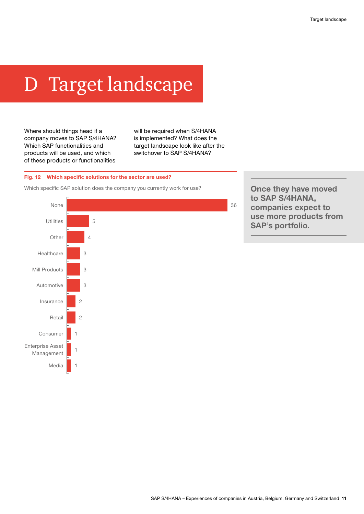# <span id="page-10-0"></span>D Target landscape

Where should things head if a company moves to SAP S/4HANA? Which SAP functionalities and products will be used, and which of these products or functionalities

will be required when S/4HANA is implemented? What does the target landscape look like after the switchover to SAP S/4HANA?

#### **Fig. 12 Which specific solutions for the sector are used?**

Which specific SAP solution does the company you currently work for use?



**Once they have moved to SAP S/4HANA, companies expect to use more products from SAP**'**s portfolio.**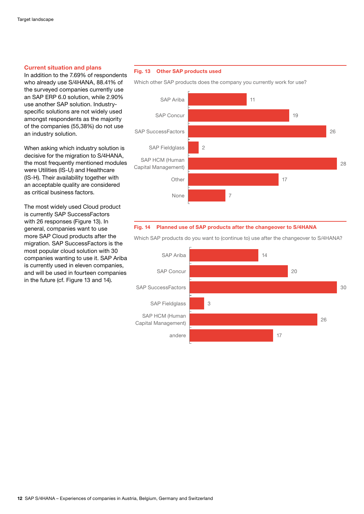#### <span id="page-11-0"></span>**Current situation and plans**

In addition to the 7.69% of respondents who already use S/4HANA, 88.41% of the surveyed companies currently use an SAP ERP 6.0 solution, while 2.90% use another SAP solution. Industryspecific solutions are not widely used amongst respondents as the majority of the companies (55,38%) do not use an industry solution.

When asking which industry solution is decisive for the migration to S/4HANA, the most frequently mentioned modules were Utilities (IS-U) and Healthcare (IS-H). Their availability together with an acceptable quality are considered as critical business factors.

The most widely used Cloud product is currently SAP SuccessFactors with 26 responses (Figure 13). In general, companies want to use more SAP Cloud products after the migration. SAP SuccessFactors is the most popular cloud solution with 30 companies wanting to use it. SAP Ariba is currently used in eleven companies, and will be used in fourteen companies in the future (cf. Figure 13 and 14).

#### **Fig. 13 Other SAP products used**



**Fig. 14 Planned use of SAP products after the changeover to S/4HANA**



Which SAP products do you want to (continue to) use after the changeover to S/4HANA?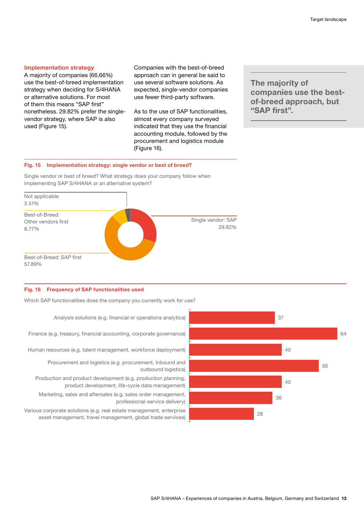#### <span id="page-12-0"></span>**Implementation strategy**

A majority of companies (66,66%) use the best-of-breed implementation strategy when deciding for S/4HANA or alternative solutions. For most of them this means "SAP first" nonetheless. 29.82% prefer the singlevendor strategy, where SAP is also used (Figure 15).

Companies with the best-of-breed approach can in general be said to use several software solutions. As expected, single-vendor companies use fewer third-party software.

As to the use of SAP functionalities, almost every company surveyed indicated that they use the financial accounting module, followed by the procurement and logistics module (Figure 16).

**The majority of companies use the bestof-breed approach, but "SAP first".**

#### **Fig. 15 Implementation strategy: single vendor or best of breed?**

Single vendor or best of breed? What strategy does your company follow when implementing SAP S/4HANA or an alternative system?



#### **Fig. 16 Frequency of SAP functionalities used**

Which SAP functionalities does the company you currently work for use?

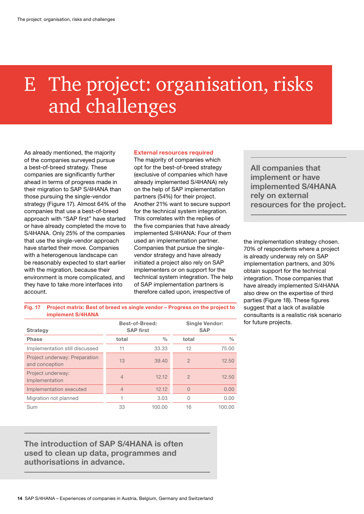# <span id="page-13-0"></span>E The project: organisation, risks and challenges

As already mentioned, the majority of the companies surveyed pursue a best-of-breed strategy. These companies are significantly further ahead in terms of progress made in their migration to SAP S/4HANA than those pursuing the single-vendor strategy (Figure 17). Almost 64% of the companies that use a best-of-breed approach with "SAP first" have started or have already completed the move to S/4HANA. Only 25% of the companies that use the single-vendor approach have started their move. Companies with a heterogenous landscape can be reasonably expected to start earlier with the migration, because their environment is more complicated, and they have to take more interfaces into account.

#### **External resources required**

The majority of companies which opt for the best-of-breed strategy (exclusive of companies which have already implemented S/4HANA) rely on the help of SAP implementation partners (54%) for their project. Another 21% want to secure support for the technical system integration. This correlates with the replies of the five companies that have already implemented S/4HANA: Four of them used an implementation partner. Companies that pursue the singlevendor strategy and have already initiated a project also rely on SAP implementers or on support for the technical system integration. The help of SAP implementation partners is therefore called upon, irrespective of

**All companies that implement or have implemented S/4HANA rely on external resources for the project.**

the implementation strategy chosen. 70% of respondents where a project is already underway rely on SAP implementation partners, and 30% obtain support for the technical integration. Those companies that have already implemented S/4HANA also drew on the expertise of third parties (Figure 18). These figures suggest that a lack of available consultants is a realistic risk scenario for future projects.

**Fig. 17 Project matrix: Best of breed vs single vendor – Progress on the project to implement S/4HANA**

| <b>Strategy</b>                                 | <b>Best-of-Breed:</b><br><b>SAP first</b> |               | <b>Single Vendor:</b><br><b>SAP</b> |               |
|-------------------------------------------------|-------------------------------------------|---------------|-------------------------------------|---------------|
| <b>Phase</b>                                    | total                                     | $\frac{0}{0}$ | total                               | $\frac{0}{0}$ |
| Implementation still discussed                  | 11                                        | 33.33         | 12                                  | 75.00         |
| Project underway: Preparation<br>and conception | 13                                        | 39.40         | $\overline{2}$                      | 12.50         |
| Project underway:<br>Implementation             | $\overline{4}$                            | 12.12         | $\mathcal{P}$                       | 12.50         |
| Implementation executed                         | $\overline{4}$                            | 12.12         | $\Omega$                            | 0.00          |
| Migration not planned                           |                                           | 3.03          | 0                                   | 0.00          |
| Sum                                             | 33                                        | 100.00        | 16                                  | 100.00        |

### **The introduction of SAP S/4HANA is often used to clean up data, programmes and authorisations in advance.**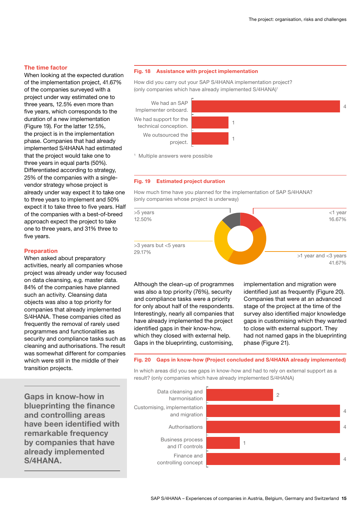#### <span id="page-14-0"></span>**The time factor**

When looking at the expected duration of the implementation project, 41.67% of the companies surveyed with a project under way estimated one to three years, 12.5% even more than five years, which corresponds to the duration of a new implementation (Figure 19). For the latter 12.5%, the project is in the implementation phase. Companies that had already implemented S/4HANA had estimated that the project would take one to three years in equal parts (50%). Differentiated according to strategy, 25% of the companies with a singlevendor strategy whose project is already under way expect it to take one to three years to implement and 50% expect it to take three to five years. Half of the companies with a best-of-breed approach expect the project to take one to three years, and 31% three to five years.

#### **Preparation**

When asked about preparatory activities, nearly all companies whose project was already under way focused on data cleansing, e.g. master data. 84% of the companies have planned such an activity. Cleansing data objects was also a top priority for companies that already implemented S/4HANA. These companies cited as frequently the removal of rarely used programmes and functionalities as security and compliance tasks such as cleaning and authorisations. The result was somewhat different for companies which were still in the middle of their transition projects.

**Gaps in know-how in blueprinting the finance and controlling areas have been identified with remarkable frequency by companies that have already implemented S/4HANA.**

#### **Fig. 18 Assistance with project implementation**

How did you carry out your SAP S/4HANA implementation project? (only companies which have already implemented S/4HANA)<sup>1</sup>

We had support for the technical conception. We had an SAP Implementer onboard. We outsourced the project.



1 Multiple answers were possible

#### **Fig. 19 Estimated project duration**

How much time have you planned for the implementation of SAP S/4HANA? (only companies whose project is underway)



Although the clean-up of programmes was also a top priority (76%), security and compliance tasks were a priority for only about half of the respondents. Interestingly, nearly all companies that have already implemented the project identified gaps in their know-how, which they closed with external help. Gaps in the blueprinting, customising,

implementation and migration were identified just as frequently (Figure 20). Companies that were at an advanced stage of the project at the time of the survey also identified major knowledge gaps in customising which they wanted to close with external support. They had not named gaps in the blueprinting phase (Figure 21).

#### **Fig. 20 Gaps in know-how (Project concluded and S/4HANA already implemented)**

In which areas did you see gaps in know-how and had to rely on external support as a result? (only companies which have already implemented S/4HANA)

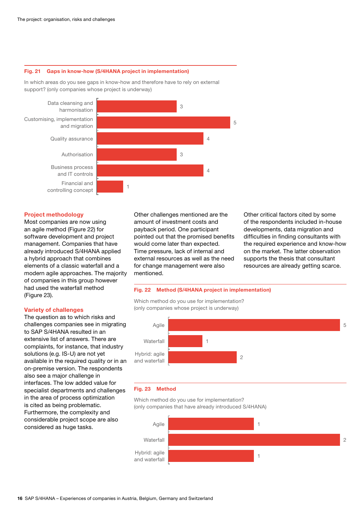#### <span id="page-15-0"></span>**Fig. 21 Gaps in know-how (S/4HANA project in implementation)**

In which areas do you see gaps in know-how and therefore have to rely on external support? (only companies whose project is underway)



#### **Project methodology**

Most companies are now using an agile method (Figure 22) for software development and project management. Companies that have already introduced S/4HANA applied a hybrid approach that combines elements of a classic waterfall and a modern agile approaches. The majority of companies in this group however had used the waterfall method (Figure 23).

#### **Variety of challenges**

The question as to which risks and challenges companies see in migrating to SAP S/4HANA resulted in an extensive list of answers. There are complaints, for instance, that industry solutions (e.g. IS-U) are not yet available in the required quality or in an on-premise version. The respondents also see a major challenge in interfaces. The low added value for specialist departments and challenges in the area of process optimization is cited as being problematic. Furthermore, the complexity and considerable project scope are also considered as huge tasks.

Other challenges mentioned are the amount of investment costs and payback period. One participant pointed out that the promised benefits would come later than expected. Time pressure, lack of internal and external resources as well as the need for change management were also mentioned.

Other critical factors cited by some of the respondents included in-house developments, data migration and difficulties in finding consultants with the required experience and know-how on the market. The latter observation supports the thesis that consultant resources are already getting scarce.

#### **Fig. 22 Method (S/4HANA project in implementation)**

Which method do you use for implementation? (only companies whose project is underway)



#### **Fig. 23 Method**

Which method do you use for implementation? (only companies that have already introduced S/4HANA)

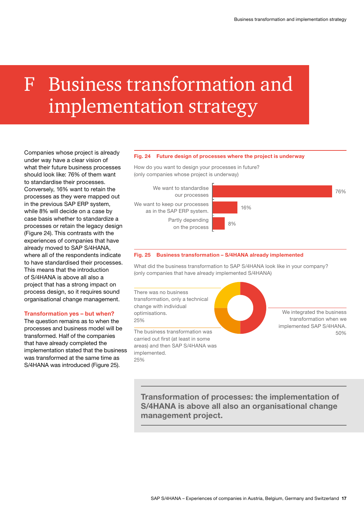# <span id="page-16-0"></span>F Business transformation and implementation strategy

Companies whose project is already under way have a clear vision of what their future business processes should look like: 76% of them want to standardise their processes. Conversely, 16% want to retain the processes as they were mapped out in the previous SAP ERP system, while 8% will decide on a case by case basis whether to standardize a processes or retain the legacy design (Figure 24). This contrasts with the experiences of companies that have already moved to SAP S/4HANA, where all of the respondents indicate to have standardised their processes. This means that the introduction of S/4HANA is above all also a project that has a strong impact on process design, so it requires sound organisational change management.

#### **Transformation yes – but when?**

The question remains as to when the processes and business model will be transformed. Half of the companies that have already completed the implementation stated that the business was transformed at the same time as S/4HANA was introduced (Figure 25).

#### **Fig. 24 Future design of processes where the project is underway**

How do you want to design your processes in future? (only companies whose project is underway)

We want to keep our processes as in the SAP ERP system. We want to standardise our processes Partly depending on the process



#### **Fig. 25 Business transformation – S/4HANA already implemented**

What did the business transformation to SAP S/4HANA look like in your company? (only companies that have already implemented S/4HANA)



**Transformation of processes: the implementation of S/4HANA is above all also an organisational change management project.**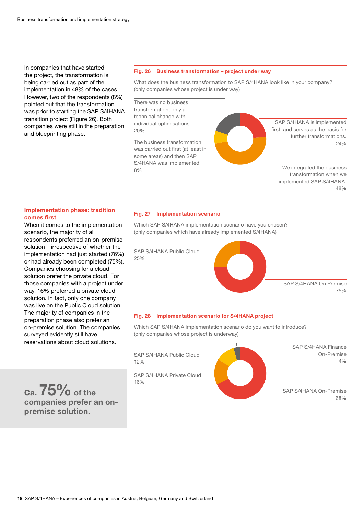<span id="page-17-0"></span>In companies that have started the project, the transformation is being carried out as part of the implementation in 48% of the cases. However, two of the respondents (8%) pointed out that the transformation was prior to starting the SAP S/4HANA transition project (Figure 26). Both companies were still in the preparation and blueprinting phase.

#### **Fig. 26 Business transformation – project under way**

What does the business transformation to SAP S/4HANA look like in your company? (only companies whose project is under way)

There was no business transformation, only a technical change with individual optimisations 20%

was carried out first (at least in some areas) and then SAP S/4HANA was implemented. 8%

SAP S/4HANA is implemented first, and serves as the basis for further transformations. The business transformation 24% and 24% and 24% and 24% and 24% and 24% and 24% and 24% and 24% and 24% and 25%

> We integrated the business transformation when we implemented SAP S/4HANA. 48%

#### **Implementation phase: tradition comes first**

When it comes to the implementation scenario, the majority of all respondents preferred an on-premise solution – irrespective of whether the implementation had just started (76%) or had already been completed (75%). Companies choosing for a cloud solution prefer the private cloud. For those companies with a project under way, 16% preferred a private cloud solution. In fact, only one company was live on the Public Cloud solution. The majority of companies in the preparation phase also prefer an on-premise solution. The companies surveyed evidently still have reservations about cloud solutions.

**Ca. 75% of the companies prefer an onpremise solution.**

#### **Fig. 27 Implementation scenario**

Which SAP S/4HANA implementation scenario have you chosen? (only companies which have already implemented S/4HANA)



#### **Fig. 28 Implementation scenario for S/4HANA project**

Which SAP S/4HANA implementation scenario do you want to introduce? (only companies whose project is underway)

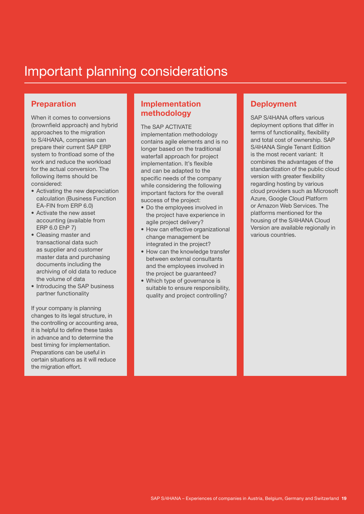### Important planning considerations

### **Preparation**

When it comes to conversions (brownfield approach) and hybrid approaches to the migration to S/4HANA, companies can prepare their current SAP ERP system to frontload some of the work and reduce the workload for the actual conversion. The following items should be considered:

- Activating the new depreciation calculation (Business Function EA-FIN from ERP 6.0)
- Activate the new asset accounting (available from ERP 6.0 EhP 7)
- Cleasing master and transactional data such as supplier and customer master data and purchasing documents including the archiving of old data to reduce the volume of data
- Introducing the SAP business partner functionality

If your company is planning changes to its legal structure, in the controlling or accounting area, it is helpful to define these tasks in advance and to determine the best timing for implementation. Preparations can be useful in certain situations as it will reduce the migration effort.

### **Implementation methodology** SAP S/4HANA offers various

The SAP ACTIVATE implementation methodology contains agile elements and is no longer based on the traditional waterfall approach for project implementation. It's flexible and can be adapted to the specific needs of the company while considering the following important factors for the overall success of the project:

- Do the employees involved in the project have experience in agile project delivery?
- How can effective organizational change management be integrated in the project?
- How can the knowledge transfer between external consultants and the employees involved in the project be guaranteed?
- Which type of governance is suitable to ensure responsibility, quality and project controlling?

### **Deployment**

deployment options that differ in terms of functionality, flexibility and total cost of ownership. SAP S/4HANA Single Tenant Edition is the most recent variant: It combines the advantages of the standardization of the public cloud version with greater flexibility regarding hosting by various cloud providers such as Microsoft Azure, Google Cloud Platform or Amazon Web Services. The platforms mentioned for the housing of the S/4HANA Cloud Version are available regionally in various countries.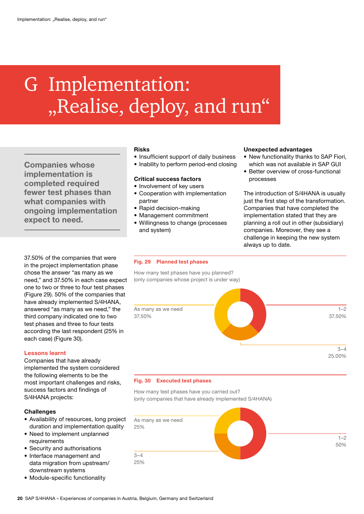# <span id="page-19-0"></span>G Implementation: "Realise, deploy, and run"

**Companies whose implementation is completed required fewer test phases than what companies with ongoing implementation expect to need.**

37.50% of the companies that were in the project implementation phase chose the answer "as many as we need," and 37.50% in each case expect one to two or three to four test phases (Figure 29). 50% of the companies that have already implemented S/4HANA, answered "as many as we need," the third company indicated one to two test phases and three to four tests according the last respondent (25% in each case) (Figure 30).

#### **Lessons learnt**

Companies that have already implemented the system considered the following elements to be the most important challenges and risks, success factors and findings of S/4HANA projects:

#### **Challenges**

- Availability of resources, long project duration and implementation quality
- Need to implement unplanned requirements
- Security and authorisations
- Interface management and data migration from upstream/ downstream systems
- Module-specific functionality

#### **Risks**

- Insufficient support of daily business
- Inability to perform period-end closing

#### **Critical success factors**

- Involvement of key users
- Cooperation with implementation partner
- Rapid decision-making
- Management commitment
- Willingness to change (processes and system)

#### **Unexpected advantages**

- New functionality thanks to SAP Fiori, which was not available in SAP GUI
- Better overview of cross-functional processes

The introduction of S/4HANA is usually just the first step of the transformation. Companies that have completed the implementation stated that they are planning a roll out in other (subsidiary) companies. Moreover, they see a challenge in keeping the new system always up to date.

#### **Fig. 29 Planned test phases**

How many test phases have you planned? (only companies whose project is under way)



#### **Fig. 30 Executed test phases**

How many test phases have you carried out? (only companies that have already implemented S/4HANA)

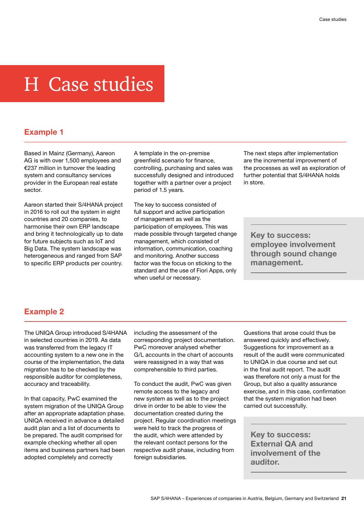# <span id="page-20-0"></span>H Case studies

### **Example 1**

Based in Mainz (Germany), Aareon AG is with over 1,500 employees and €237 million in turnover the leading system and consultancy services provider in the European real estate sector.

Aareon started their S/4HANA project in 2016 to roll out the system in eight countries and 20 companies, to harmonise their own ERP landscape and bring it technologically up to date for future subjects such as IoT and Big Data. The system landscape was heterogeneous and ranged from SAP to specific ERP products per country.

A template in the on-premise greenfield scenario for finance, controlling, purchasing and sales was successfully designed and introduced together with a partner over a project period of 1.5 years.

The key to success consisted of full support and active participation of management as well as the participation of employees. This was made possible through targeted change management, which consisted of information, communication, coaching and monitoring. Another success factor was the focus on sticking to the standard and the use of Fiori Apps, only when useful or necessary.

The next steps after implementation are the incremental improvement of the processes as well as exploration of further potential that S/4HANA holds in store.

**Key to success: employee involvement through sound change management.**

### **Example 2**

The UNIQA Group introduced S/4HANA in selected countries in 2019. As data was transferred from the legacy IT accounting system to a new one in the course of the implementation, the data migration has to be checked by the responsible auditor for completeness, accuracy and traceability.

In that capacity, PwC examined the system migration of the UNIQA Group after an appropriate adaptation phase. UNIQA received in advance a detailed audit plan and a list of documents to be prepared. The audit comprised for example checking whether all open items and business partners had been adopted completely and correctly

including the assessment of the corresponding project documentation. PwC moreover analysed whether G/L accounts in the chart of accounts were reassigned in a way that was comprehensible to third parties.

To conduct the audit, PwC was given remote access to the legacy and new system as well as to the project drive in order to be able to view the documentation created during the project. Regular coordination meetings were held to track the progress of the audit, which were attended by the relevant contact persons for the respective audit phase, including from foreign subsidiaries.

Questions that arose could thus be answered quickly and effectively. Suggestions for improvement as a result of the audit were communicated to UNIQA in due course and set out in the final audit report. The audit was therefore not only a must for the Group, but also a quality assurance exercise, and in this case, confirmation that the system migration had been carried out successfully.

**Key to success: External QA and involvement of the auditor.**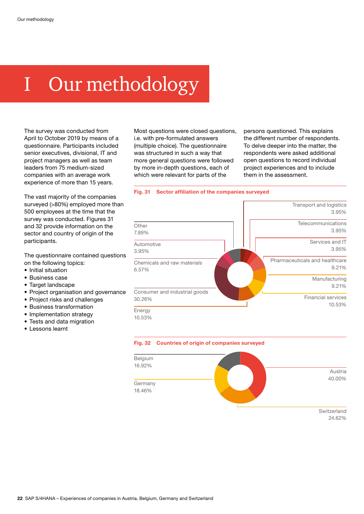# <span id="page-21-0"></span>I Our methodology

The survey was conducted from April to October 2019 by means of a questionnaire. Participants included senior executives, divisional, IT and project managers as well as team leaders from 75 medium-sized companies with an average work experience of more than 15 years.

The vast majority of the companies surveyed (>80%) employed more than 500 employees at the time that the survey was conducted. Figures 31 and 32 provide information on the sector and country of origin of the participants.

The questionnaire contained questions on the following topics:

- Initial situation
- Business case
- Target landscape
- Project organisation and governance
- Project risks and challenges
- Business transformation
- Implementation strategy
- Tests and data migration
- Lessons learnt

Most questions were closed questions, i.e. with pre-formulated answers (multiple choice). The questionnaire was structured in such a way that more general questions were followed by more in-depth questions, each of which were relevant for parts of the

persons questioned. This explains the different number of respondents. To delve deeper into the matter, the respondents were asked additional open questions to record individual project experiences and to include them in the assessment.

#### **Fig. 31 Sector affiliation of the companies surveyed**



**Fig. 32 Countries of origin of companies surveyed**



24.62%